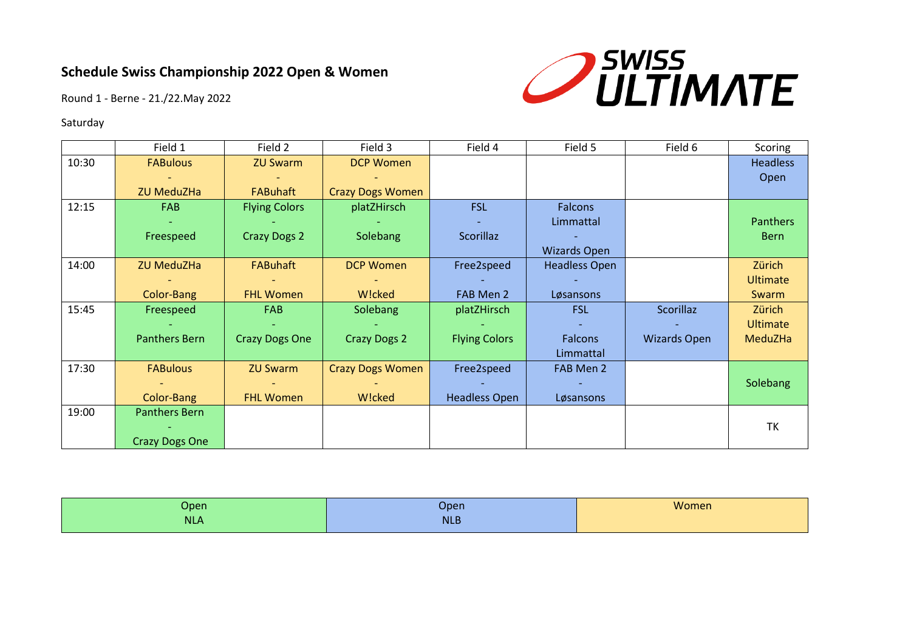

Round 1 - Berne - 21./22.May 2022

### Saturday

|       | Field 1               | Field 2               | Field 3                 | Field 4              | Field 5              | Field 6             | Scoring         |
|-------|-----------------------|-----------------------|-------------------------|----------------------|----------------------|---------------------|-----------------|
| 10:30 | <b>FABulous</b>       | <b>ZU Swarm</b>       | <b>DCP Women</b>        |                      |                      |                     | <b>Headless</b> |
|       |                       |                       |                         |                      |                      |                     | Open            |
|       | <b>ZU MeduZHa</b>     | <b>FABuhaft</b>       | <b>Crazy Dogs Women</b> |                      |                      |                     |                 |
| 12:15 | <b>FAB</b>            | <b>Flying Colors</b>  | platZHirsch             | <b>FSL</b>           | <b>Falcons</b>       |                     |                 |
|       |                       |                       |                         |                      | Limmattal            |                     | <b>Panthers</b> |
|       | Freespeed             | <b>Crazy Dogs 2</b>   | Solebang                | Scorillaz            |                      |                     | <b>Bern</b>     |
|       |                       |                       |                         |                      | <b>Wizards Open</b>  |                     |                 |
| 14:00 | <b>ZU MeduZHa</b>     | <b>FABuhaft</b>       | <b>DCP Women</b>        | Free2speed           | <b>Headless Open</b> |                     | Zürich          |
|       |                       |                       |                         |                      |                      |                     | <b>Ultimate</b> |
|       | Color-Bang            | <b>FHL Women</b>      | W!cked                  | FAB Men 2            | Løsansons            |                     | Swarm           |
| 15:45 | Freespeed             | <b>FAB</b>            | Solebang                | platZHirsch          | <b>FSL</b>           | Scorillaz           | Zürich          |
|       |                       |                       |                         |                      |                      |                     | <b>Ultimate</b> |
|       | <b>Panthers Bern</b>  | <b>Crazy Dogs One</b> | <b>Crazy Dogs 2</b>     | <b>Flying Colors</b> | <b>Falcons</b>       | <b>Wizards Open</b> | MeduZHa         |
|       |                       |                       |                         |                      | Limmattal            |                     |                 |
| 17:30 | <b>FABulous</b>       | <b>ZU Swarm</b>       | <b>Crazy Dogs Women</b> | Free2speed           | FAB Men 2            |                     |                 |
|       |                       |                       |                         |                      |                      |                     | Solebang        |
|       | Color-Bang            | <b>FHL Women</b>      | W!cked                  | <b>Headless Open</b> | Løsansons            |                     |                 |
| 19:00 | <b>Panthers Bern</b>  |                       |                         |                      |                      |                     |                 |
|       |                       |                       |                         |                      |                      |                     | <b>TK</b>       |
|       | <b>Crazy Dogs One</b> |                       |                         |                      |                      |                     |                 |

| Open       | Open       | Women |
|------------|------------|-------|
| <b>NLA</b> | <b>NLB</b> |       |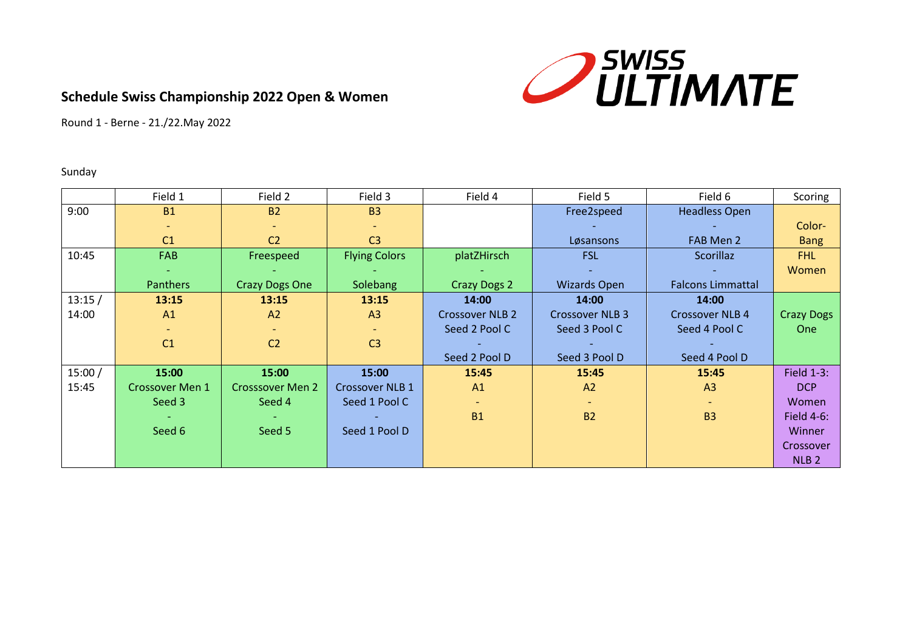

Round 1 - Berne - 21./22.May 2022

### Sunday

|        | Field 1                | Field 2                 | Field 3                | Field 4                | Field 5                | Field 6                  | Scoring           |
|--------|------------------------|-------------------------|------------------------|------------------------|------------------------|--------------------------|-------------------|
| 9:00   | <b>B1</b>              | <b>B2</b>               | <b>B3</b>              |                        | Free2speed             | <b>Headless Open</b>     |                   |
|        |                        |                         |                        |                        |                        |                          | Color-            |
|        | C <sub>1</sub>         | C <sub>2</sub>          | C <sub>3</sub>         |                        | Løsansons              | FAB Men 2                | <b>Bang</b>       |
| 10:45  | FAB                    | Freespeed               | <b>Flying Colors</b>   | platZHirsch            | <b>FSL</b>             | Scorillaz                | FHL               |
|        | $\sim$                 |                         |                        |                        |                        |                          | Women             |
|        | Panthers               | <b>Crazy Dogs One</b>   | <b>Solebang</b>        | <b>Crazy Dogs 2</b>    | <b>Wizards Open</b>    | <b>Falcons Limmattal</b> |                   |
| 13:15/ | 13:15                  | 13:15                   | 13:15                  | 14:00                  | 14:00                  | 14:00                    |                   |
| 14:00  | A <sub>1</sub>         | A2                      | A <sub>3</sub>         | <b>Crossover NLB 2</b> | <b>Crossover NLB 3</b> | <b>Crossover NLB 4</b>   | <b>Crazy Dogs</b> |
|        |                        |                         |                        | Seed 2 Pool C          | Seed 3 Pool C          | Seed 4 Pool C            | One               |
|        | C <sub>1</sub>         | C <sub>2</sub>          | C <sub>3</sub>         |                        |                        |                          |                   |
|        |                        |                         |                        | Seed 2 Pool D          | Seed 3 Pool D          | Seed 4 Pool D            |                   |
| 15:00/ | 15:00                  | 15:00                   | 15:00                  | 15:45                  | 15:45                  | 15:45                    | <b>Field 1-3:</b> |
| 15:45  | <b>Crossover Men 1</b> | <b>Crosssover Men 2</b> | <b>Crossover NLB 1</b> | A1                     | A2                     | A <sub>3</sub>           | DCP               |
|        | Seed 3                 | Seed 4                  | Seed 1 Pool C          |                        |                        |                          | Women             |
|        |                        |                         |                        | <b>B1</b>              | <b>B2</b>              | <b>B3</b>                | Field $4-6$ :     |
|        | Seed 6                 | Seed 5                  | Seed 1 Pool D          |                        |                        |                          | <b>Winner</b>     |
|        |                        |                         |                        |                        |                        |                          | Crossover         |
|        |                        |                         |                        |                        |                        |                          | NLB <sub>2</sub>  |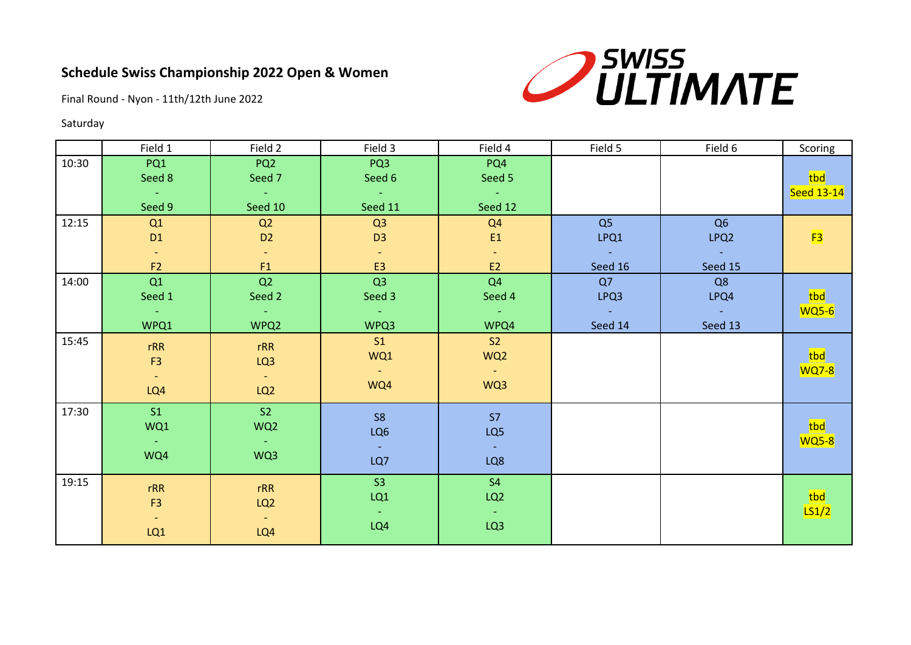

Final Round - Nyon - 11th/12th June 2022

### Saturday

|       | Field 1                                  | Field 2                           | Field 3        | Field 4                  | Field 5         | Field 6          | Scoring           |
|-------|------------------------------------------|-----------------------------------|----------------|--------------------------|-----------------|------------------|-------------------|
| 10:30 | PQ1                                      | PQ <sub>2</sub>                   | PQ3            | PQ4                      |                 |                  |                   |
|       | Seed 8                                   | Seed 7                            | Seed 6         | Seed 5                   |                 |                  | tbd               |
|       | <b>Contract</b>                          | $\sim 100$                        | <b>College</b> | $\sim 1000$ km s $^{-1}$ |                 |                  | <b>Seed 13-14</b> |
|       | Seed 9                                   | Seed 10                           | Seed 11        | Seed 12                  |                 |                  |                   |
| 12:15 | Q1                                       | Q2                                | Q3             | Q <sub>4</sub>           | Q5              | Q <sub>6</sub>   |                   |
|       | D <sub>1</sub>                           | D <sub>2</sub>                    | D <sub>3</sub> | E1                       | LPQ1            | LPQ <sub>2</sub> | F3                |
|       | $\sim$ .                                 | $\sim$ .                          |                | $\sim$ .                 | <b>Contract</b> | <b>Contract</b>  |                   |
|       | F2                                       | F1                                | E3             | E2                       | Seed 16         | Seed 15          |                   |
| 14:00 | Q1                                       | Q2                                | Q3             | Q <sub>4</sub>           | Q7              | Q8               |                   |
|       | Seed 1                                   | Seed 2                            | Seed 3         | Seed 4                   | LPQ3            | LPQ4             | tbd               |
|       | <b>Allen</b>                             | $\alpha \rightarrow \alpha \beta$ | $\sim 100$     | $\sim 100$               | <b>College</b>  | <b>College</b>   | <b>WQ5-6</b>      |
|       | WPQ1                                     | WPQ2                              | WPQ3           | WPQ4                     | Seed 14         | Seed 13          |                   |
| 15:45 | rRR                                      | rRR                               | S1             | S2                       |                 |                  |                   |
|       | F <sub>3</sub>                           | LQ3                               | WQ1            | WQ <sub>2</sub>          |                 |                  | tbd               |
|       | $\frac{1}{2} \left( \frac{1}{2} \right)$ | $\sim$ $-$                        | $\sim$ $^{-1}$ | $\sim$ $\sim$            |                 |                  | <b>WQ7-8</b>      |
|       | LQ4                                      | LQ <sub>2</sub>                   | WQ4            | WQ3                      |                 |                  |                   |
|       |                                          |                                   |                |                          |                 |                  |                   |
| 17:30 | S1                                       | S2                                | S <sub>8</sub> | S7                       |                 |                  |                   |
|       | WQ1                                      | WQ <sub>2</sub>                   | LQ6            | LQ5                      |                 |                  | tbd               |
|       | Æy                                       | $\sim 10^{-1}$                    | $\sim$         | $\sim$                   |                 |                  | <b>WQ5-8</b>      |
|       | WQ4                                      | WQ3                               | LQ7            | LQ8                      |                 |                  |                   |
|       |                                          |                                   |                |                          |                 |                  |                   |
| 19:15 | rRR                                      | rRR                               | S3             | S <sub>4</sub>           |                 |                  |                   |
|       | F <sub>3</sub>                           | LQ <sub>2</sub>                   | LQ1            | LQ <sub>2</sub>          |                 |                  | tbd               |
|       | $\sigma_{\rm{max}}$                      | $\left\langle -\right\rangle$     | $\sim$         | $\sim$                   |                 |                  | LS1/2             |
|       | LQ1                                      | LQ4                               | LQ4            | LQ3                      |                 |                  |                   |
|       |                                          |                                   |                |                          |                 |                  |                   |